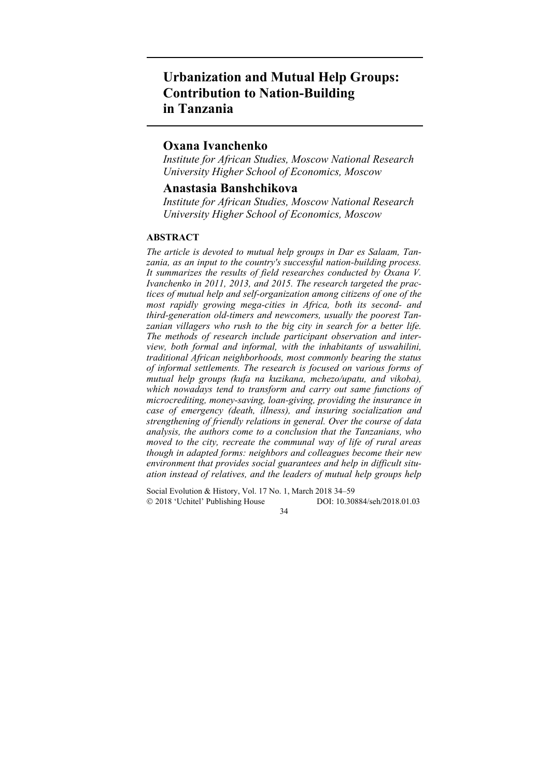# **Urbanization and Mutual Help Groups: Contribution to Nation-Building in Tanzania**

## **Oxana Ivanchenko**

*Institute for African Studies, Moscow National Research University Higher School of Economics, Moscow* 

## **Anastasia Banshchikova**

*Institute for African Studies, Moscow National Research University Higher School of Economics, Moscow* 

## **ABSTRACT**

*The article is devoted to mutual help groups in Dar es Salaam, Tanzania, as an input to the country's successful nation-building process. It summarizes the results of field researches conducted by Oxana V. Ivanchenko in 2011, 2013, and 2015. The research targeted the practices of mutual help and self-organization among citizens of one of the most rapidly growing mega-cities in Africa, both its second- and third-generation old-timers and newcomers, usually the poorest Tanzanian villagers who rush to the big city in search for a better life. The methods of research include participant observation and interview, both formal and informal, with the inhabitants of uswahilini, traditional African neighborhoods, most commonly bearing the status of informal settlements. The research is focused on various forms of mutual help groups (kufa na kuzikana, mchezo/upatu, and vikoba), which nowadays tend to transform and carry out same functions of microcrediting, money-saving, loan-giving, providing the insurance in case of emergency (death, illness), and insuring socialization and strengthening of friendly relations in general. Over the course of data analysis, the authors come to a conclusion that the Tanzanians, who moved to the city, recreate the communal way of life of rural areas though in adapted forms: neighbors and colleagues become their new environment that provides social guarantees and help in difficult situation instead of relatives, and the leaders of mutual help groups help* 

Social Evolution & History, Vol. 17 No. 1, March 2018 34–59 2018 'Uchitel' Publishing House DOI: 10.30884/seh/2018.01.03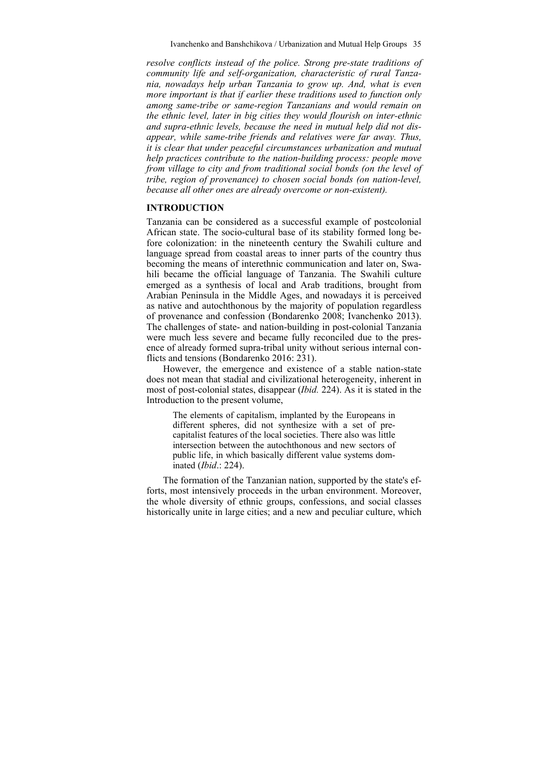*resolve conflicts instead of the police. Strong pre-state traditions of community life and self-organization, characteristic of rural Tanzania, nowadays help urban Tanzania to grow up. And, what is even more important is that if earlier these traditions used to function only among same-tribe or same-region Tanzanians and would remain on the ethnic level, later in big cities they would flourish on inter-ethnic and supra-ethnic levels, because the need in mutual help did not disappear, while same-tribe friends and relatives were far away. Thus, it is clear that under peaceful circumstances urbanization and mutual help practices contribute to the nation-building process: people move from village to city and from traditional social bonds (on the level of tribe, region of provenance) to chosen social bonds (on nation-level, because all other ones are already overcome or non-existent).* 

## **INTRODUCTION**

Tanzania can be considered as a successful example of postcolonial African state. The socio-cultural base of its stability formed long before colonization: in the nineteenth century the Swahili culture and language spread from coastal areas to inner parts of the country thus becoming the means of interethnic communication and later on, Swahili became the official language of Tanzania. The Swahili culture emerged as a synthesis of local and Arab traditions, brought from Arabian Peninsula in the Middle Ages, and nowadays it is perceived as native and autochthonous by the majority of population regardless of provenance and confession (Bondarenko 2008; Ivanchenko 2013). The challenges of state- and nation-building in post-colonial Tanzania were much less severe and became fully reconciled due to the presence of already formed supra-tribal unity without serious internal conflicts and tensions (Bondarenko 2016: 231).

However, the emergence and existence of a stable nation-state does not mean that stadial and civilizational heterogeneity, inherent in most of post-colonial states, disappear (*Ibid.* 224). As it is stated in the Introduction to the present volume,

The elements of capitalism, implanted by the Europeans in different spheres, did not synthesize with a set of precapitalist features of the local societies. There also was little intersection between the autochthonous and new sectors of public life, in which basically different value systems dominated (*Ibid*.: 224).

The formation of the Tanzanian nation, supported by the state's efforts, most intensively proceeds in the urban environment. Moreover, the whole diversity of ethnic groups, confessions, and social classes historically unite in large cities; and a new and peculiar culture, which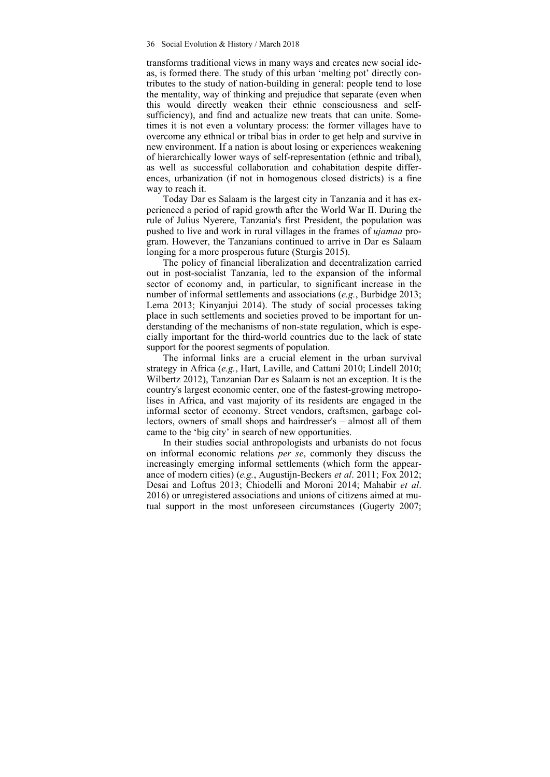transforms traditional views in many ways and creates new social ideas, is formed there. The study of this urban 'melting pot' directly contributes to the study of nation-building in general: people tend to lose the mentality, way of thinking and prejudice that separate (even when this would directly weaken their ethnic consciousness and selfsufficiency), and find and actualize new treats that can unite. Sometimes it is not even a voluntary process: the former villages have to overcome any ethnical or tribal bias in order to get help and survive in new environment. If a nation is about losing or experiences weakening of hierarchically lower ways of self-representation (ethnic and tribal), as well as successful collaboration and cohabitation despite differences, urbanization (if not in homogenous closed districts) is a fine way to reach it.

Today Dar es Salaam is the largest city in Tanzania and it has experienced a period of rapid growth after the World War II. During the rule of Julius Nyerere, Tanzania's first President, the population was pushed to live and work in rural villages in the frames of *ujamaa* program. However, the Tanzanians continued to arrive in Dar es Salaam longing for a more prosperous future (Sturgis 2015).

The policy of financial liberalization and decentralization carried out in post-socialist Tanzania, led to the expansion of the informal sector of economy and, in particular, to significant increase in the number of informal settlements and associations (*e.g.*, Burbidge 2013; Lema 2013; Kinyanjui 2014). The study of social processes taking place in such settlements and societies proved to be important for understanding of the mechanisms of non-state regulation, which is especially important for the third-world countries due to the lack of state support for the poorest segments of population.

The informal links are a crucial element in the urban survival strategy in Africa (*e.g.*, Hart, Laville, and Cattani 2010; Lindell 2010; Wilbertz 2012), Tanzanian Dar es Salaam is not an exception. It is the country's largest economic center, one of the fastest-growing metropolises in Africa, and vast majority of its residents are engaged in the informal sector of economy. Street vendors, craftsmen, garbage collectors, owners of small shops and hairdresser's – almost all of them came to the 'big city' in search of new opportunities.

In their studies social anthropologists and urbanists do not focus on informal economic relations *per se*, commonly they discuss the increasingly emerging informal settlements (which form the appearance of modern cities) (*e.g.*, Augustijn-Beckers *et al*. 2011; Fox 2012; Desai and Loftus 2013; Chiodelli and Moroni 2014; Mahabir *et al*. 2016) or unregistered associations and unions of citizens aimed at mutual support in the most unforeseen circumstances (Gugerty 2007;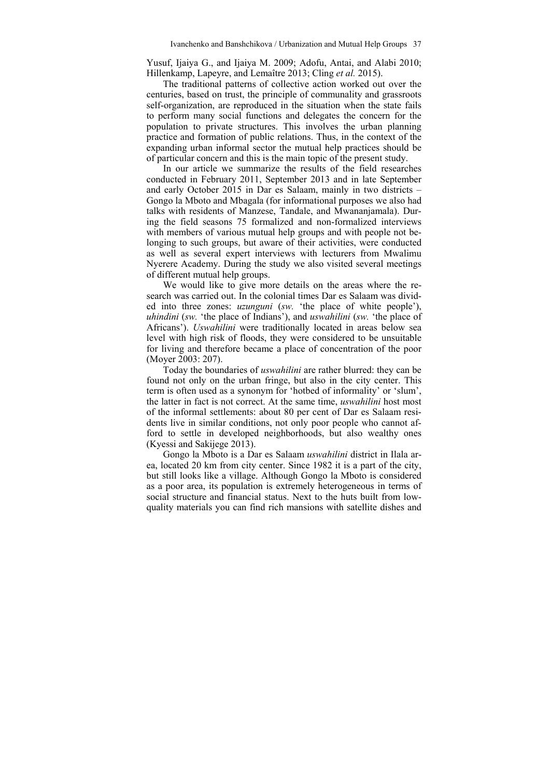Yusuf, Ijaiya G., and Ijaiya M. 2009; Adofu, Antai, and Alabi 2010; Hillenkamp, Lapeyre, and Lemaître 2013; Cling *et al.* 2015).

The traditional patterns of collective action worked out over the centuries, based on trust, the principle of communality and grassroots self-organization, are reproduced in the situation when the state fails to perform many social functions and delegates the concern for the population to private structures. This involves the urban planning practice and formation of public relations. Thus, in the context of the expanding urban informal sector the mutual help practices should be of particular concern and this is the main topic of the present study.

In our article we summarize the results of the field researches conducted in February 2011, September 2013 and in late September and early October 2015 in Dar es Salaam, mainly in two districts – Gongo la Mboto and Mbagala (for informational purposes we also had talks with residents of Manzese, Tandale, and Mwananjamala). During the field seasons 75 formalized and non-formalized interviews with members of various mutual help groups and with people not belonging to such groups, but aware of their activities, were conducted as well as several expert interviews with lecturers from Mwalimu Nyerere Academy. During the study we also visited several meetings of different mutual help groups.

We would like to give more details on the areas where the research was carried out. In the colonial times Dar es Salaam was divided into three zones: *uzunguni* (*sw.* 'the place of white people'), *uhindini* (*sw.* 'the place of Indians'), and *uswahilini* (*sw.* 'the place of Africans'). *Uswahilini* were traditionally located in areas below sea level with high risk of floods, they were considered to be unsuitable for living and therefore became a place of concentration of the poor (Moyer 2003: 207).

Today the boundaries of *uswahilini* are rather blurred: they can be found not only on the urban fringe, but also in the city center. This term is often used as a synonym for 'hotbed of informality' or 'slum', the latter in fact is not correct. At the same time, *uswahilini* host most of the informal settlements: about 80 per cent of Dar es Salaam residents live in similar conditions, not only poor people who cannot afford to settle in developed neighborhoods, but also wealthy ones (Kyessi and Sakijege 2013).

Gongo la Mboto is a Dar es Salaam *uswahilini* district in Ilala area, located 20 km from city center. Since 1982 it is a part of the city, but still looks like a village. Although Gongo la Mboto is considered as a poor area, its population is extremely heterogeneous in terms of social structure and financial status. Next to the huts built from lowquality materials you can find rich mansions with satellite dishes and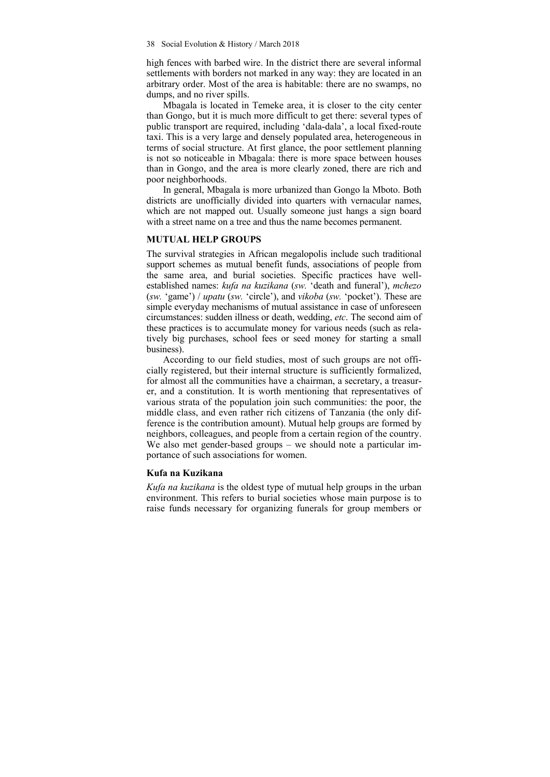high fences with barbed wire. In the district there are several informal settlements with borders not marked in any way: they are located in an arbitrary order. Most of the area is habitable: there are no swamps, no dumps, and no river spills.

Mbagala is located in Temeke area, it is closer to the city center than Gongo, but it is much more difficult to get there: several types of public transport are required, including 'dala-dala', a local fixed-route taxi. This is a very large and densely populated area, heterogeneous in terms of social structure. At first glance, the poor settlement planning is not so noticeable in Mbagala: there is more space between houses than in Gongo, and the area is more clearly zoned, there are rich and poor neighborhoods.

In general, Mbagala is more urbanized than Gongo la Mboto. Both districts are unofficially divided into quarters with vernacular names, which are not mapped out. Usually someone just hangs a sign board with a street name on a tree and thus the name becomes permanent.

### **MUTUAL HELP GROUPS**

The survival strategies in African megalopolis include such traditional support schemes as mutual benefit funds, associations of people from the same area, and burial societies. Specific practices have wellestablished names: *kufa na kuzikana* (*sw.* 'death and funeral'), *mchezo*  (*sw.* 'game') / *upatu* (*sw.* 'circle'), and *vikoba* (*sw.* 'pocket'). These are simple everyday mechanisms of mutual assistance in case of unforeseen circumstances: sudden illness or death, wedding, *etc*. The second aim of these practices is to accumulate money for various needs (such as relatively big purchases, school fees or seed money for starting a small business).

According to our field studies, most of such groups are not officially registered, but their internal structure is sufficiently formalized, for almost all the communities have a chairman, a secretary, a treasurer, and a constitution. It is worth mentioning that representatives of various strata of the population join such communities: the poor, the middle class, and even rather rich citizens of Tanzania (the only difference is the contribution amount). Mutual help groups are formed by neighbors, colleagues, and people from a certain region of the country. We also met gender-based groups – we should note a particular importance of such associations for women.

#### **Kufa na Kuzikana**

*Kufa na kuzikana* is the oldest type of mutual help groups in the urban environment. This refers to burial societies whose main purpose is to raise funds necessary for organizing funerals for group members or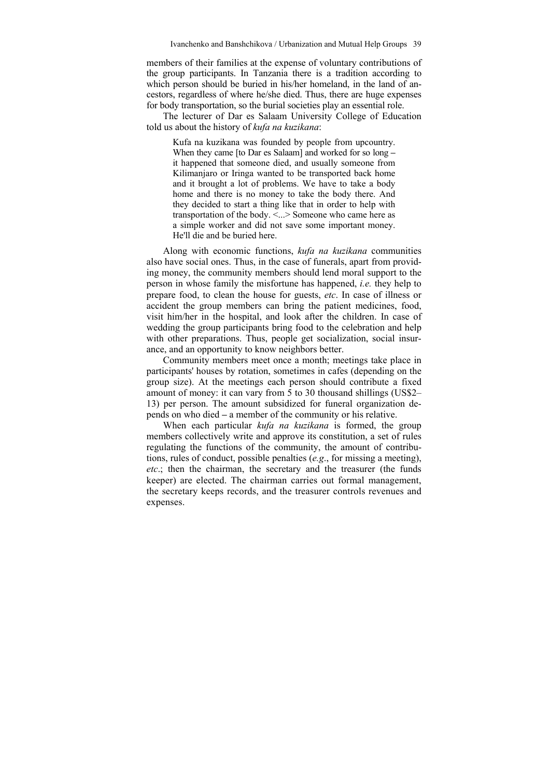members of their families at the expense of voluntary contributions of the group participants. In Tanzania there is a tradition according to which person should be buried in his/her homeland, in the land of ancestors, regardless of where he/she died. Thus, there are huge expenses for body transportation, so the burial societies play an essential role.

The lecturer of Dar es Salaam University College of Education told us about the history of *kufa na kuzikana*:

Kufa na kuzikana was founded by people from upcountry. When they came [to Dar es Salaam] and worked for so long **–** it happened that someone died, and usually someone from Kilimanjaro or Iringa wanted to be transported back home and it brought a lot of problems. We have to take a body home and there is no money to take the body there. And they decided to start a thing like that in order to help with transportation of the body. <...> Someone who came here as a simple worker and did not save some important money. He'll die and be buried here.

Along with economic functions, *kufa na kuzikana* communities also have social ones. Thus, in the case of funerals, apart from providing money, the community members should lend moral support to the person in whose family the misfortune has happened, *i.e.* they help to prepare food, to clean the house for guests, *etc*. In case of illness or accident the group members can bring the patient medicines, food, visit him/her in the hospital, and look after the children. In case of wedding the group participants bring food to the celebration and help with other preparations. Thus, people get socialization, social insurance, and an opportunity to know neighbors better.

Community members meet once a month; meetings take place in participants' houses by rotation, sometimes in cafes (depending on the group size). At the meetings each person should contribute a fixed amount of money: it can vary from  $\overline{5}$  to 30 thousand shillings (US\$2– 13) per person. The amount subsidized for funeral organization depends on who died **–** a member of the community or his relative.

When each particular *kufa na kuzikana* is formed, the group members collectively write and approve its constitution, a set of rules regulating the functions of the community, the amount of contributions, rules of conduct, possible penalties (*e.g*., for missing a meeting), *etc*.; then the chairman, the secretary and the treasurer (the funds keeper) are elected. The chairman carries out formal management, the secretary keeps records, and the treasurer controls revenues and expenses.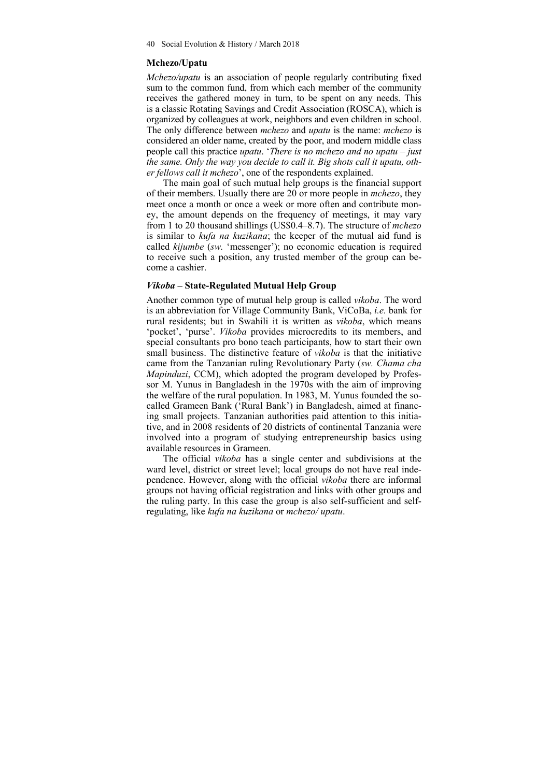40 Social Evolution & History / March 2018

## **Mchezo/Upatu**

*Mchezo/upatu* is an association of people regularly contributing fixed sum to the common fund, from which each member of the community receives the gathered money in turn, to be spent on any needs. This is a classic Rotating Savings and Credit Association (ROSCA), which is organized by colleagues at work, neighbors and even children in school. The only difference between *mchezo* and *upatu* is the name: *mchezo* is considered an older name, created by the poor, and modern middle class people call this practice *upatu*. '*There is no mchezo and no upatu – just the same. Only the way you decide to call it. Big shots call it upatu, other fellows call it mchezo*', one of the respondents explained.

The main goal of such mutual help groups is the financial support of their members. Usually there are 20 or more people in *mchezo*, they meet once a month or once a week or more often and contribute money, the amount depends on the frequency of meetings, it may vary from 1 to 20 thousand shillings (US\$0.4–8.7). The structure of *mchezo* is similar to *kufa na kuzikana*; the keeper of the mutual aid fund is called *kijumbe* (*sw.* 'messenger'); no economic education is required to receive such a position, any trusted member of the group can become a cashier.

## *Vikoba* **– State-Regulated Mutual Help Group**

Another common type of mutual help group is called *vikoba*. The word is an abbreviation for Village Community Bank, ViCoBa, *i.e.* bank for rural residents; but in Swahili it is written as *vikoba*, which means 'pocket', 'purse'. *Vikoba* provides microcredits to its members, and special consultants pro bono teach participants, how to start their own small business. The distinctive feature of *vikoba* is that the initiative came from the Tanzanian ruling Revolutionary Party (*sw. Chama cha Mapinduzi*, CCM), which adopted the program developed by Professor M. Yunus in Bangladesh in the 1970s with the aim of improving the welfare of the rural population. In 1983, M. Yunus founded the socalled Grameen Bank ('Rural Bank') in Bangladesh, aimed at financing small projects. Tanzanian authorities paid attention to this initiative, and in 2008 residents of 20 districts of continental Tanzania were involved into a program of studying entrepreneurship basics using available resources in Grameen.

The official *vikoba* has a single center and subdivisions at the ward level, district or street level; local groups do not have real independence. However, along with the official *vikoba* there are informal groups not having official registration and links with other groups and the ruling party. In this case the group is also self-sufficient and selfregulating, like *kufa na kuzikana* or *mchezo/ upatu*.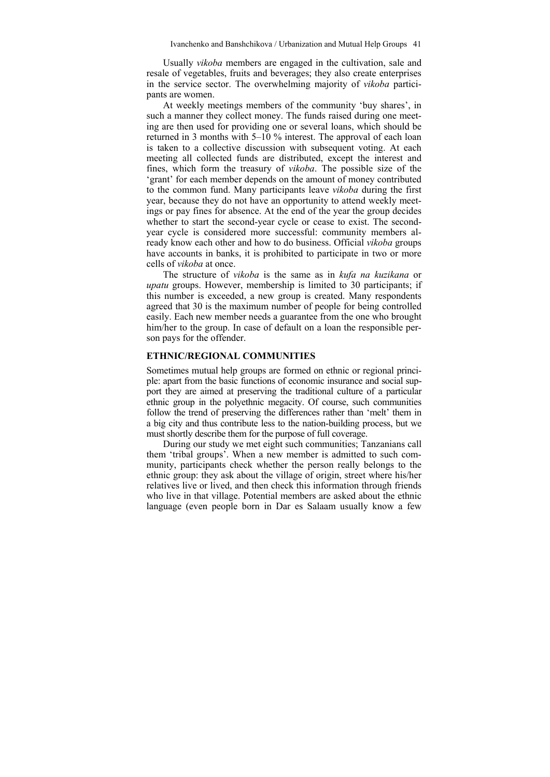Usually *vikoba* members are engaged in the cultivation, sale and resale of vegetables, fruits and beverages; they also create enterprises in the service sector. The overwhelming majority of *vikoba* participants are women.

At weekly meetings members of the community 'buy shares', in such a manner they collect money. The funds raised during one meeting are then used for providing one or several loans, which should be returned in 3 months with  $5-10\%$  interest. The approval of each loan is taken to a collective discussion with subsequent voting. At each meeting all collected funds are distributed, except the interest and fines, which form the treasury of *vikoba*. The possible size of the 'grant' for each member depends on the amount of money contributed to the common fund. Many participants leave *vikoba* during the first year, because they do not have an opportunity to attend weekly meetings or pay fines for absence. At the end of the year the group decides whether to start the second-year cycle or cease to exist. The secondyear cycle is considered more successful: community members already know each other and how to do business. Official *vikoba* groups have accounts in banks, it is prohibited to participate in two or more cells of *vikoba* at once.

The structure of *vikoba* is the same as in *kufa na kuzikana* or *upatu* groups. However, membership is limited to 30 participants; if this number is exceeded, a new group is created. Many respondents agreed that 30 is the maximum number of people for being controlled easily. Each new member needs a guarantee from the one who brought him/her to the group. In case of default on a loan the responsible person pays for the offender.

#### **ETHNIC/REGIONAL COMMUNITIES**

Sometimes mutual help groups are formed on ethnic or regional principle: apart from the basic functions of economic insurance and social support they are aimed at preserving the traditional culture of a particular ethnic group in the polyethnic megacity. Of course, such communities follow the trend of preserving the differences rather than 'melt' them in a big city and thus contribute less to the nation-building process, but we must shortly describe them for the purpose of full coverage.

During our study we met eight such communities; Tanzanians call them 'tribal groups'. When a new member is admitted to such community, participants check whether the person really belongs to the ethnic group: they ask about the village of origin, street where his/her relatives live or lived, and then check this information through friends who live in that village. Potential members are asked about the ethnic language (even people born in Dar es Salaam usually know a few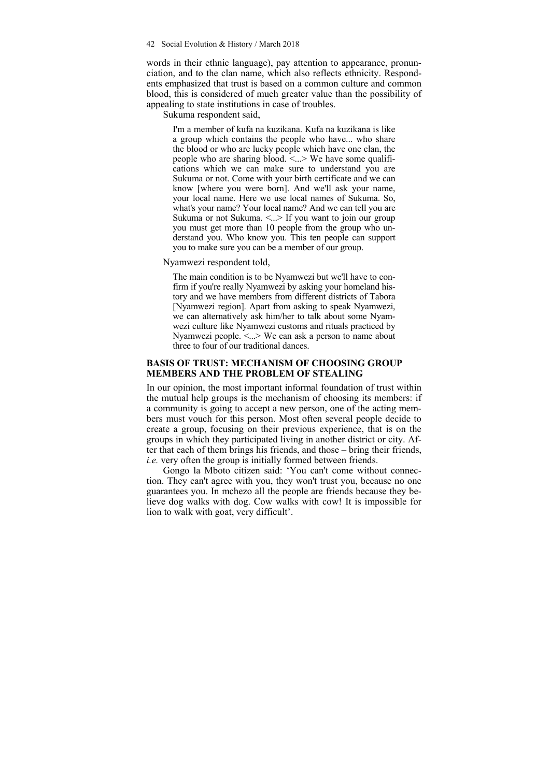#### 42 Social Evolution & History / March 2018

words in their ethnic language), pay attention to appearance, pronunciation, and to the clan name, which also reflects ethnicity. Respondents emphasized that trust is based on a common culture and common blood, this is considered of much greater value than the possibility of appealing to state institutions in case of troubles.

Sukuma respondent said,

I'm a member of kufa na kuzikana. Kufa na kuzikana is like a group which contains the people who have... who share the blood or who are lucky people which have one clan, the people who are sharing blood.  $\leq$   $\leq$   $\leq$   $\leq$   $\leq$   $\leq$   $\leq$   $\leq$   $\leq$   $\leq$   $\leq$   $\leq$   $\leq$   $\leq$   $\leq$   $\leq$   $\leq$   $\leq$   $\leq$   $\leq$   $\leq$   $\leq$   $\leq$   $\leq$   $\leq$   $\leq$   $\leq$   $\leq$   $\leq$   $\leq$   $\leq$   $\leq$ cations which we can make sure to understand you are Sukuma or not. Come with your birth certificate and we can know [where you were born]. And we'll ask your name, your local name. Here we use local names of Sukuma. So, what's your name? Your local name? And we can tell you are Sukuma or not Sukuma.  $\leq$   $\geq$  If you want to join our group you must get more than 10 people from the group who understand you. Who know you. This ten people can support you to make sure you can be a member of our group.

Nyamwezi respondent told,

The main condition is to be Nyamwezi but we'll have to confirm if you're really Nyamwezi by asking your homeland history and we have members from different districts of Tabora [Nyamwezi region]. Apart from asking to speak Nyamwezi, we can alternatively ask him/her to talk about some Nyamwezi culture like Nyamwezi customs and rituals practiced by Nyamwezi people. <...> We can ask a person to name about three to four of our traditional dances.

#### **BASIS OF TRUST: MECHANISM OF CHOOSING GROUP MEMBERS AND THE PROBLEM OF STEALING**

In our opinion, the most important informal foundation of trust within the mutual help groups is the mechanism of choosing its members: if a community is going to accept a new person, one of the acting members must vouch for this person. Most often several people decide to create a group, focusing on their previous experience, that is on the groups in which they participated living in another district or city. After that each of them brings his friends, and those – bring their friends, *i.e.* very often the group is initially formed between friends.

Gongo la Mboto citizen said: 'You can't come without connection. They can't agree with you, they won't trust you, because no one guarantees you. In mchezo all the people are friends because they believe dog walks with dog. Cow walks with cow! It is impossible for lion to walk with goat, very difficult'.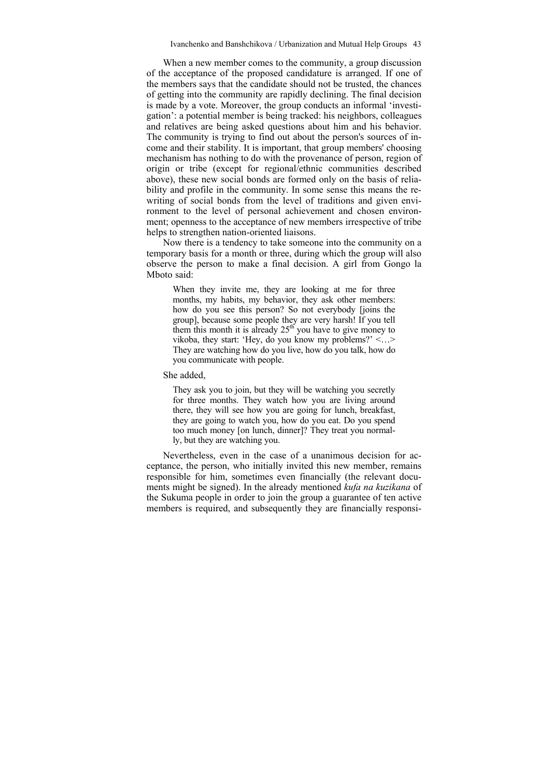When a new member comes to the community, a group discussion of the acceptance of the proposed candidature is arranged. If one of the members says that the candidate should not be trusted, the chances of getting into the community are rapidly declining. The final decision is made by a vote. Moreover, the group conducts an informal 'investigation': a potential member is being tracked: his neighbors, colleagues and relatives are being asked questions about him and his behavior. The community is trying to find out about the person's sources of income and their stability. It is important, that group members' choosing mechanism has nothing to do with the provenance of person, region of origin or tribe (except for regional/ethnic communities described above), these new social bonds are formed only on the basis of reliability and profile in the community. In some sense this means the rewriting of social bonds from the level of traditions and given environment to the level of personal achievement and chosen environment; openness to the acceptance of new members irrespective of tribe helps to strengthen nation-oriented liaisons.

Now there is a tendency to take someone into the community on a temporary basis for a month or three, during which the group will also observe the person to make a final decision. A girl from Gongo la Mboto said:

When they invite me, they are looking at me for three months, my habits, my behavior, they ask other members: how do you see this person? So not everybody [joins the group], because some people they are very harsh! If you tell them this month it is already  $25<sup>th</sup>$  you have to give money to vikoba, they start: 'Hey, do you know my problems?'  $\leq$ ...> They are watching how do you live, how do you talk, how do you communicate with people.

She added,

They ask you to join, but they will be watching you secretly for three months. They watch how you are living around there, they will see how you are going for lunch, breakfast, they are going to watch you, how do you eat. Do you spend too much money [on lunch, dinner]? They treat you normally, but they are watching you.

Nevertheless, even in the case of a unanimous decision for acceptance, the person, who initially invited this new member, remains responsible for him, sometimes even financially (the relevant documents might be signed). In the already mentioned *kufa na kuzikana* of the Sukuma people in order to join the group a guarantee of ten active members is required, and subsequently they are financially responsi-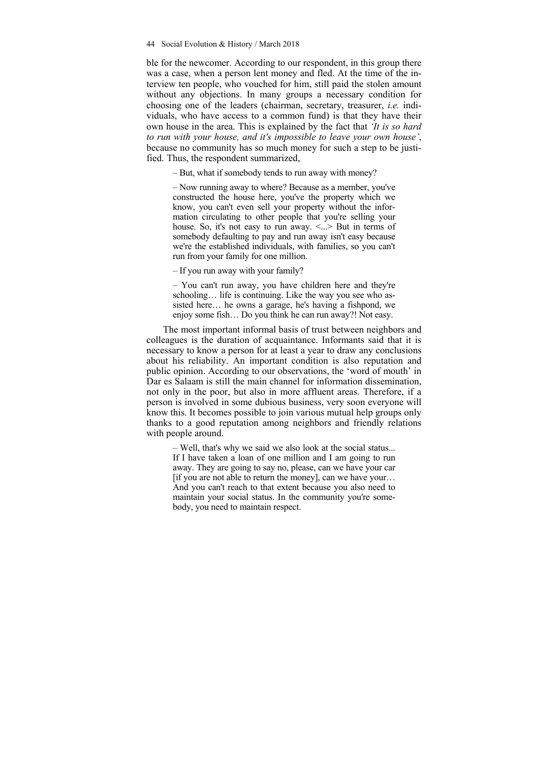ble for the newcomer. According to our respondent, in this group there was a case, when a person lent money and fled. At the time of the interview ten people, who vouched for him, still paid the stolen amount without any objections. In many groups a necessary condition for choosing one of the leaders (chairman, secretary, treasurer, *i.e.* individuals, who have access to a common fund) is that they have their own house in the area. This is explained by the fact that *'It is so hard to run with your house, and it's impossible to leave your own house'*, because no community has so much money for such a step to be justified. Thus, the respondent summarized,

– But, what if somebody tends to run away with money?

– Now running away to where? Because as a member, you've constructed the house here, you've the property which we know, you can't even sell your property without the information circulating to other people that you're selling your house. So, it's not easy to run away. <...> But in terms of somebody defaulting to pay and run away isn't easy because we're the established individuals, with families, so you can't run from your family for one million.

– If you run away with your family?

– You can't run away, you have children here and they're schooling… life is continuing. Like the way you see who assisted here… he owns a garage, he's having a fishpond, we enjoy some fish… Do you think he can run away?! Not easy.

The most important informal basis of trust between neighbors and colleagues is the duration of acquaintance. Informants said that it is necessary to know a person for at least a year to draw any conclusions about his reliability. An important condition is also reputation and public opinion. According to our observations, the 'word of mouth' in Dar es Salaam is still the main channel for information dissemination, not only in the poor, but also in more affluent areas. Therefore, if a person is involved in some dubious business, very soon everyone will know this. It becomes possible to join various mutual help groups only thanks to a good reputation among neighbors and friendly relations with people around.

– Well, that's why we said we also look at the social status... If I have taken a loan of one million and I am going to run away. They are going to say no, please, can we have your car [if you are not able to return the money], can we have your… And you can't reach to that extent because you also need to maintain your social status. In the community you're somebody, you need to maintain respect.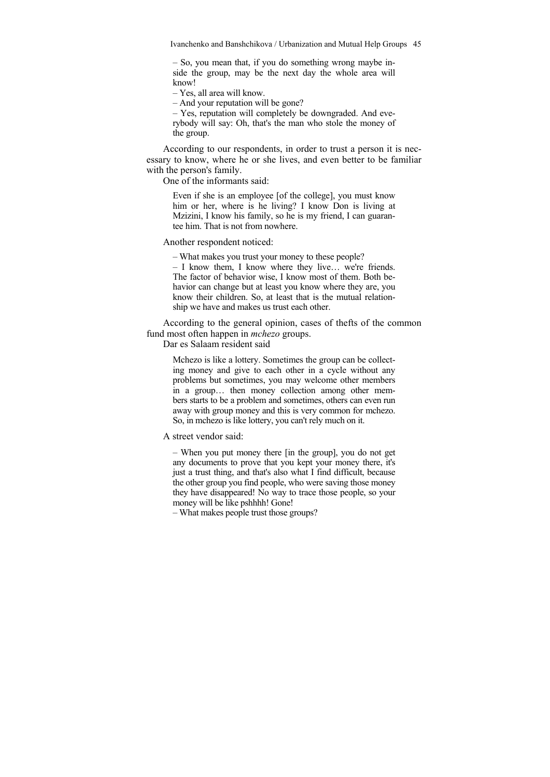– So, you mean that, if you do something wrong maybe inside the group, may be the next day the whole area will know!

– Yes, all area will know.

– And your reputation will be gone?

– Yes, reputation will completely be downgraded. And everybody will say: Oh, that's the man who stole the money of the group.

According to our respondents, in order to trust a person it is necessary to know, where he or she lives, and even better to be familiar with the person's family.

One of the informants said:

Even if she is an employee [of the college], you must know him or her, where is he living? I know Don is living at Mzizini, I know his family, so he is my friend, I can guarantee him. That is not from nowhere.

Another respondent noticed:

– What makes you trust your money to these people?

– I know them, I know where they live… we're friends. The factor of behavior wise, I know most of them. Both behavior can change but at least you know where they are, you know their children. So, at least that is the mutual relationship we have and makes us trust each other.

According to the general opinion, cases of thefts of the common fund most often happen in *mchezo* groups.

Dar es Salaam resident said

Mchezo is like a lottery. Sometimes the group can be collecting money and give to each other in a cycle without any problems but sometimes, you may welcome other members in a group… then money collection among other members starts to be a problem and sometimes, others can even run away with group money and this is very common for mchezo. So, in mchezo is like lottery, you can't rely much on it.

A street vendor said:

– When you put money there [in the group], you do not get any documents to prove that you kept your money there, it's just a trust thing, and that's also what I find difficult, because the other group you find people, who were saving those money they have disappeared! No way to trace those people, so your money will be like pshhhh! Gone!

– What makes people trust those groups?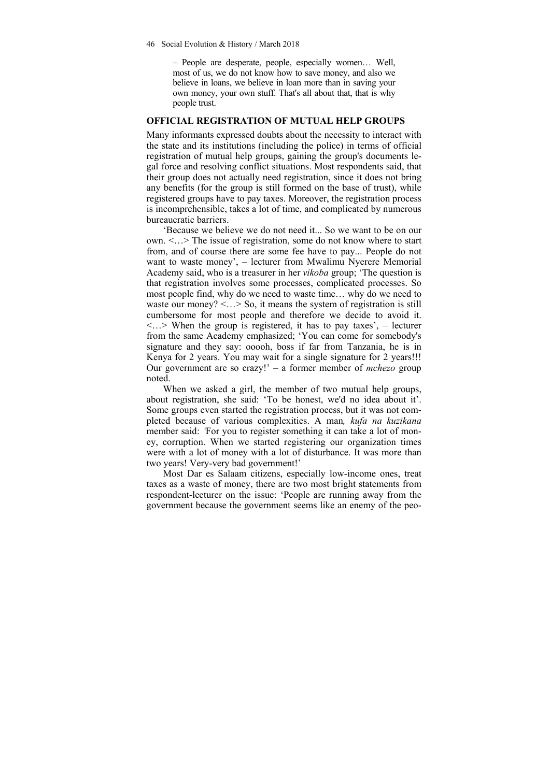– People are desperate, people, especially women… Well, most of us, we do not know how to save money, and also we believe in loans, we believe in loan more than in saving your own money, your own stuff. That's all about that, that is why people trust.

## **OFFICIAL REGISTRATION OF MUTUAL HELP GROUPS**

Many informants expressed doubts about the necessity to interact with the state and its institutions (including the police) in terms of official registration of mutual help groups, gaining the group's documents legal force and resolving conflict situations. Most respondents said, that their group does not actually need registration, since it does not bring any benefits (for the group is still formed on the base of trust), while registered groups have to pay taxes. Moreover, the registration process is incomprehensible, takes a lot of time, and complicated by numerous bureaucratic barriers.

'Because we believe we do not need it... So we want to be on our own. <…> The issue of registration, some do not know where to start from, and of course there are some fee have to pay... People do not want to waste money', – lecturer from Mwalimu Nyerere Memorial Academy said, who is a treasurer in her *vikoba* group; 'The question is that registration involves some processes, complicated processes. So most people find, why do we need to waste time… why do we need to waste our money?  $\langle \cdot \rangle$  So, it means the system of registration is still cumbersome for most people and therefore we decide to avoid it.  $\langle \cdot \rangle$  When the group is registered, it has to pay taxes', – lecturer from the same Academy emphasized; 'You can come for somebody's signature and they say: ooooh, boss if far from Tanzania, he is in Kenya for 2 years. You may wait for a single signature for 2 years!!! Our government are so crazy!' – a former member of *mchezo* group noted.

When we asked a girl, the member of two mutual help groups, about registration, she said: 'To be honest, we'd no idea about it'. Some groups even started the registration process, but it was not completed because of various complexities. A man*, kufa na kuzikana*  member said: *'*For you to register something it can take a lot of money, corruption. When we started registering our organization times were with a lot of money with a lot of disturbance. It was more than two years! Very-very bad government!'

Most Dar es Salaam citizens, especially low-income ones, treat taxes as a waste of money, there are two most bright statements from respondent-lecturer on the issue: 'People are running away from the government because the government seems like an enemy of the peo-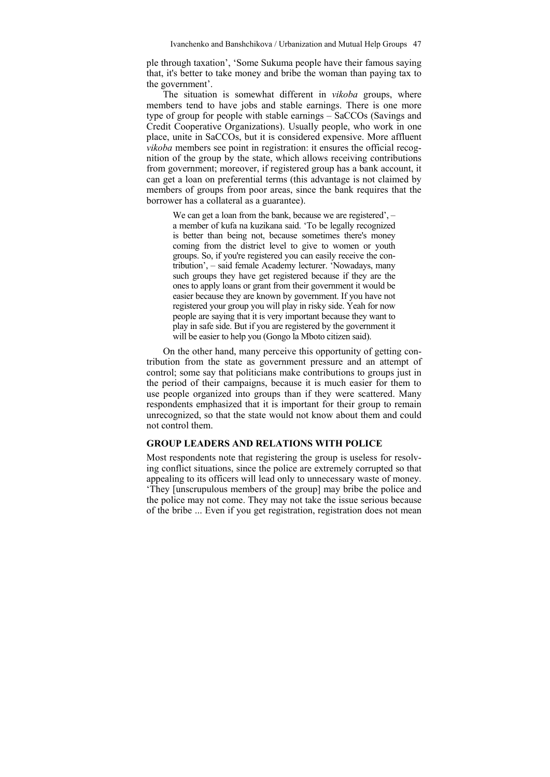ple through taxation', 'Some Sukuma people have their famous saying that, it's better to take money and bribe the woman than paying tax to the government'.

The situation is somewhat different in *vikoba* groups, where members tend to have jobs and stable earnings. There is one more type of group for people with stable earnings – SaCCOs (Savings and Credit Cooperative Organizations). Usually people, who work in one place, unite in SaCCOs, but it is considered expensive. More affluent *vikoba* members see point in registration: it ensures the official recognition of the group by the state, which allows receiving contributions from government; moreover, if registered group has a bank account, it can get a loan on preferential terms (this advantage is not claimed by members of groups from poor areas, since the bank requires that the borrower has a collateral as a guarantee).

We can get a loan from the bank, because we are registered',  $$ a member of kufa na kuzikana said. 'To be legally recognized is better than being not, because sometimes there's money coming from the district level to give to women or youth groups. So, if you're registered you can easily receive the contribution', – said female Academy lecturer. 'Nowadays, many such groups they have get registered because if they are the ones to apply loans or grant from their government it would be easier because they are known by government. If you have not registered your group you will play in risky side. Yeah for now people are saying that it is very important because they want to play in safe side. But if you are registered by the government it will be easier to help you (Gongo la Mboto citizen said).

On the other hand, many perceive this opportunity of getting contribution from the state as government pressure and an attempt of control; some say that politicians make contributions to groups just in the period of their campaigns, because it is much easier for them to use people organized into groups than if they were scattered. Many respondents emphasized that it is important for their group to remain unrecognized, so that the state would not know about them and could not control them.

#### **GROUP LEADERS AND RELATIONS WITH POLICE**

Most respondents note that registering the group is useless for resolving conflict situations, since the police are extremely corrupted so that appealing to its officers will lead only to unnecessary waste of money. 'They [unscrupulous members of the group] may bribe the police and the police may not come. They may not take the issue serious because of the bribe ... Even if you get registration, registration does not mean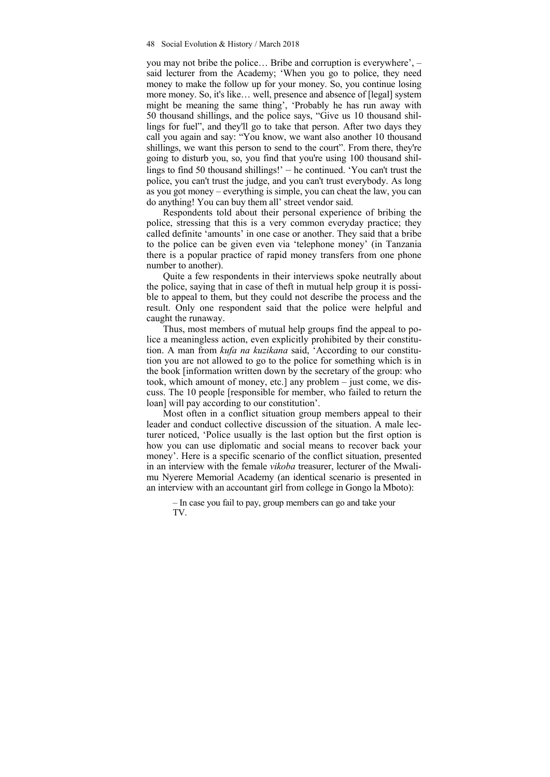you may not bribe the police… Bribe and corruption is everywhere', – said lecturer from the Academy; 'When you go to police, they need money to make the follow up for your money. So, you continue losing more money. So, it's like... well, presence and absence of [legal] system might be meaning the same thing', 'Probably he has run away with 50 thousand shillings, and the police says, "Give us 10 thousand shillings for fuel", and they'll go to take that person. After two days they call you again and say: "You know, we want also another 10 thousand shillings, we want this person to send to the court". From there, they're going to disturb you, so, you find that you're using 100 thousand shillings to find 50 thousand shillings!' – he continued. 'You can't trust the police, you can't trust the judge, and you can't trust everybody. As long as you got money – everything is simple, you can cheat the law, you can do anything! You can buy them all' street vendor said.

Respondents told about their personal experience of bribing the police, stressing that this is a very common everyday practice; they called definite 'amounts' in one case or another. They said that a bribe to the police can be given even via 'telephone money' (in Tanzania there is a popular practice of rapid money transfers from one phone number to another).

Quite a few respondents in their interviews spoke neutrally about the police, saying that in case of theft in mutual help group it is possible to appeal to them, but they could not describe the process and the result. Only one respondent said that the police were helpful and caught the runaway.

Thus, most members of mutual help groups find the appeal to police a meaningless action, even explicitly prohibited by their constitution. A man from *kufa na kuzikana* said, 'According to our constitution you are not allowed to go to the police for something which is in the book [information written down by the secretary of the group: who took, which amount of money, etc.] any problem – just come, we discuss. The 10 people [responsible for member, who failed to return the loan] will pay according to our constitution'.

Most often in a conflict situation group members appeal to their leader and conduct collective discussion of the situation. A male lecturer noticed, 'Police usually is the last option but the first option is how you can use diplomatic and social means to recover back your money'. Here is a specific scenario of the conflict situation, presented in an interview with the female *vikoba* treasurer, lecturer of the Mwalimu Nyerere Memorial Academy (an identical scenario is presented in an interview with an accountant girl from college in Gongo la Mboto):

– In case you fail to pay, group members can go and take your TV.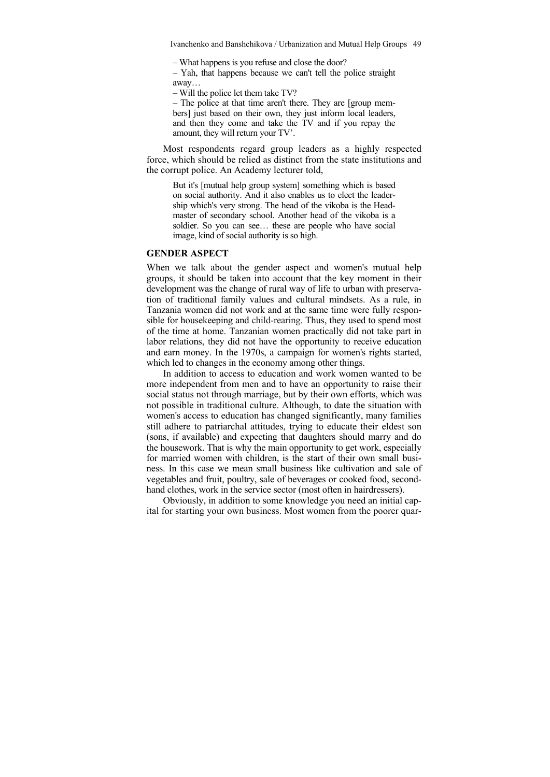Ivanchenko and Banshchikova / Urbanization and Mutual Help Groups 49

– What happens is you refuse and close the door?

– Yah, that happens because we can't tell the police straight away…

– Will the police let them take TV?

– The police at that time aren't there. They are [group members] just based on their own, they just inform local leaders, and then they come and take the TV and if you repay the amount, they will return your TV'.

Most respondents regard group leaders as a highly respected force, which should be relied as distinct from the state institutions and the corrupt police. An Academy lecturer told,

But it's [mutual help group system] something which is based on social authority. And it also enables us to elect the leadership which's very strong. The head of the vikoba is the Headmaster of secondary school. Another head of the vikoba is a soldier. So you can see… these are people who have social image, kind of social authority is so high.

#### **GENDER ASPECT**

When we talk about the gender aspect and women's mutual help groups, it should be taken into account that the key moment in their development was the change of rural way of life to urban with preservation of traditional family values and cultural mindsets. As a rule, in Tanzania women did not work and at the same time were fully responsible for housekeeping and child-rearing. Thus, they used to spend most of the time at home. Tanzanian women practically did not take part in labor relations, they did not have the opportunity to receive education and earn money. In the 1970s, a campaign for women's rights started, which led to changes in the economy among other things.

In addition to access to education and work women wanted to be more independent from men and to have an opportunity to raise their social status not through marriage, but by their own efforts, which was not possible in traditional culture. Although, to date the situation with women's access to education has changed significantly, many families still adhere to patriarchal attitudes, trying to educate their eldest son (sons, if available) and expecting that daughters should marry and do the housework. That is why the main opportunity to get work, especially for married women with children, is the start of their own small business. In this case we mean small business like cultivation and sale of vegetables and fruit, poultry, sale of beverages or cooked food, secondhand clothes, work in the service sector (most often in hairdressers).

Obviously, in addition to some knowledge you need an initial capital for starting your own business. Most women from the poorer quar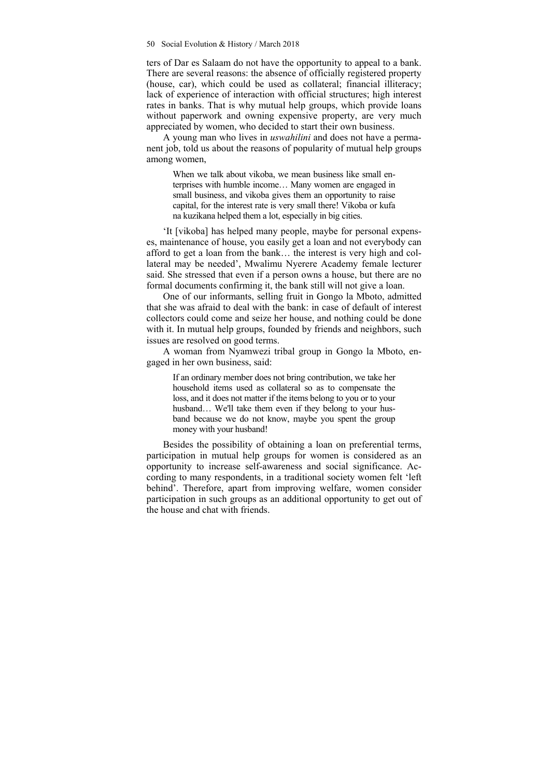ters of Dar es Salaam do not have the opportunity to appeal to a bank. There are several reasons: the absence of officially registered property (house, car), which could be used as collateral; financial illiteracy; lack of experience of interaction with official structures; high interest rates in banks. That is why mutual help groups, which provide loans without paperwork and owning expensive property, are very much appreciated by women, who decided to start their own business.

A young man who lives in *uswahilini* and does not have a permanent job, told us about the reasons of popularity of mutual help groups among women,

When we talk about vikoba, we mean business like small enterprises with humble income… Many women are engaged in small business, and vikoba gives them an opportunity to raise capital, for the interest rate is very small there! Vikoba or kufa na kuzikana helped them a lot, especially in big cities.

'It [vikoba] has helped many people, maybe for personal expenses, maintenance of house, you easily get a loan and not everybody can afford to get a loan from the bank… the interest is very high and collateral may be needed', Mwalimu Nyerere Academy female lecturer said. She stressed that even if a person owns a house, but there are no formal documents confirming it, the bank still will not give a loan.

One of our informants, selling fruit in Gongo la Mboto, admitted that she was afraid to deal with the bank: in case of default of interest collectors could come and seize her house, and nothing could be done with it. In mutual help groups, founded by friends and neighbors, such issues are resolved on good terms.

A woman from Nyamwezi tribal group in Gongo la Mboto, engaged in her own business, said:

If an ordinary member does not bring contribution, we take her household items used as collateral so as to compensate the loss, and it does not matter if the items belong to you or to your husband... We'll take them even if they belong to your husband because we do not know, maybe you spent the group money with your husband!

Besides the possibility of obtaining a loan on preferential terms, participation in mutual help groups for women is considered as an opportunity to increase self-awareness and social significance. According to many respondents, in a traditional society women felt 'left behind'. Therefore, apart from improving welfare, women consider participation in such groups as an additional opportunity to get out of the house and chat with friends.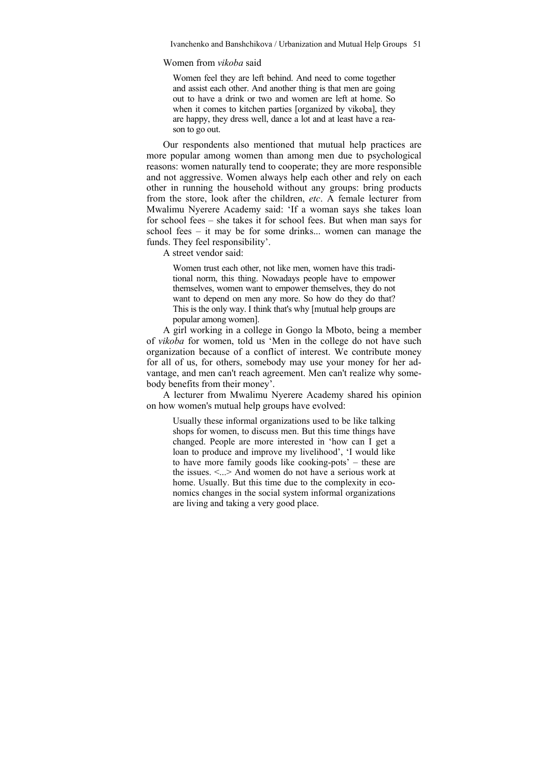Women from *vikoba* said

Women feel they are left behind. And need to come together and assist each other. And another thing is that men are going out to have a drink or two and women are left at home. So when it comes to kitchen parties [organized by vikoba], they are happy, they dress well, dance a lot and at least have a reason to go out.

Our respondents also mentioned that mutual help practices are more popular among women than among men due to psychological reasons: women naturally tend to cooperate; they are more responsible and not aggressive. Women always help each other and rely on each other in running the household without any groups: bring products from the store, look after the children, *etc*. A female lecturer from Mwalimu Nyerere Academy said: 'If a woman says she takes loan for school fees – she takes it for school fees. But when man says for school fees – it may be for some drinks... women can manage the funds. They feel responsibility'.

A street vendor said:

Women trust each other, not like men, women have this traditional norm, this thing. Nowadays people have to empower themselves, women want to empower themselves, they do not want to depend on men any more. So how do they do that? This is the only way. I think that's why [mutual help groups are popular among women].

A girl working in a college in Gongo la Mboto, being a member of *vikoba* for women, told us 'Men in the college do not have such organization because of a conflict of interest. We contribute money for all of us, for others, somebody may use your money for her advantage, and men can't reach agreement. Men can't realize why somebody benefits from their money'.

A lecturer from Mwalimu Nyerere Academy shared his opinion on how women's mutual help groups have evolved:

Usually these informal organizations used to be like talking shops for women, to discuss men. But this time things have changed. People are more interested in 'how can I get a loan to produce and improve my livelihood', 'I would like to have more family goods like cooking-pots' – these are the issues.  $\leq$  > And women do not have a serious work at home. Usually. But this time due to the complexity in economics changes in the social system informal organizations are living and taking a very good place.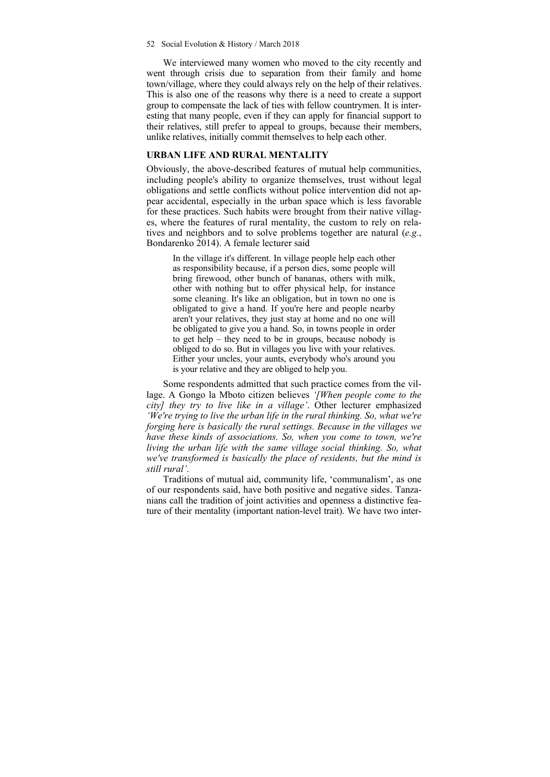#### 52 Social Evolution & History / March 2018

We interviewed many women who moved to the city recently and went through crisis due to separation from their family and home town/village, where they could always rely on the help of their relatives. This is also one of the reasons why there is a need to create a support group to compensate the lack of ties with fellow countrymen. It is interesting that many people, even if they can apply for financial support to their relatives, still prefer to appeal to groups, because their members, unlike relatives, initially commit themselves to help each other.

### **URBAN LIFE AND RURAL MENTALITY**

Obviously, the above-described features of mutual help communities, including people's ability to organize themselves, trust without legal obligations and settle conflicts without police intervention did not appear accidental, especially in the urban space which is less favorable for these practices. Such habits were brought from their native villages, where the features of rural mentality, the custom to rely on relatives and neighbors and to solve problems together are natural (*e.g.*, Bondarenko 2014). A female lecturer said

In the village it's different. In village people help each other as responsibility because, if a person dies, some people will bring firewood, other bunch of bananas, others with milk, other with nothing but to offer physical help, for instance some cleaning. It's like an obligation, but in town no one is obligated to give a hand. If you're here and people nearby aren't your relatives, they just stay at home and no one will be obligated to give you a hand. So, in towns people in order to get help – they need to be in groups, because nobody is obliged to do so. But in villages you live with your relatives. Either your uncles, your aunts, everybody who's around you is your relative and they are obliged to help you.

Some respondents admitted that such practice comes from the village. A Gongo la Mboto citizen believes *'[When people come to the city] they try to live like in a village'*. Other lecturer emphasized *'We're trying to live the urban life in the rural thinking. So, what we're forging here is basically the rural settings. Because in the villages we have these kinds of associations. So, when you come to town, we're living the urban life with the same village social thinking. So, what we've transformed is basically the place of residents, but the mind is still rural'*.

Traditions of mutual aid, community life, 'communalism', as one of our respondents said, have both positive and negative sides. Tanzanians call the tradition of joint activities and openness a distinctive feature of their mentality (important nation-level trait). We have two inter-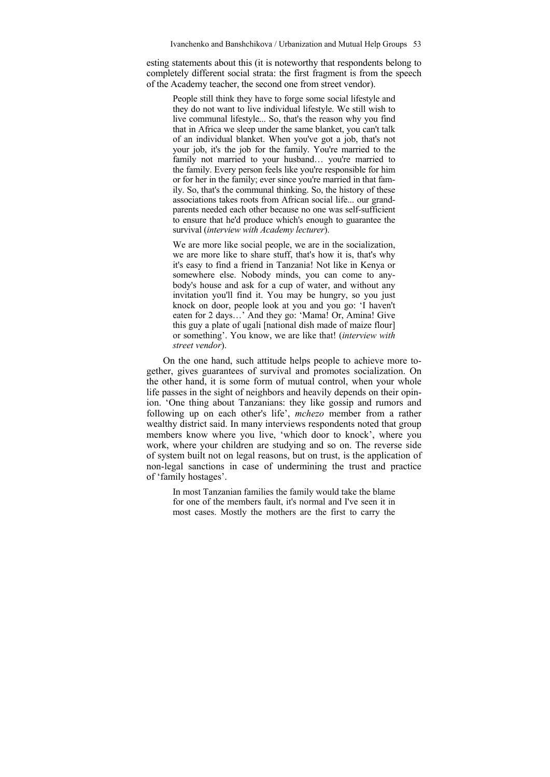esting statements about this (it is noteworthy that respondents belong to completely different social strata: the first fragment is from the speech of the Academy teacher, the second one from street vendor).

People still think they have to forge some social lifestyle and they do not want to live individual lifestyle. We still wish to live communal lifestyle... So, that's the reason why you find that in Africa we sleep under the same blanket, you can't talk of an individual blanket. When you've got a job, that's not your job, it's the job for the family. You're married to the family not married to your husband... you're married to the family. Every person feels like you're responsible for him or for her in the family; ever since you're married in that family. So, that's the communal thinking. So, the history of these associations takes roots from African social life... our grandparents needed each other because no one was self-sufficient to ensure that he'd produce which's enough to guarantee the survival (*interview with Academy lecturer*).

We are more like social people, we are in the socialization, we are more like to share stuff, that's how it is, that's why it's easy to find a friend in Tanzania! Not like in Kenya or somewhere else. Nobody minds, you can come to anybody's house and ask for a cup of water, and without any invitation you'll find it. You may be hungry, so you just knock on door, people look at you and you go: 'I haven't eaten for 2 days…' And they go: 'Mama! Or, Amina! Give this guy a plate of ugali [national dish made of maize flour] or something'. You know, we are like that! (*interview with street vendor*).

On the one hand, such attitude helps people to achieve more together, gives guarantees of survival and promotes socialization. On the other hand, it is some form of mutual control, when your whole life passes in the sight of neighbors and heavily depends on their opinion. 'One thing about Tanzanians: they like gossip and rumors and following up on each other's life', *mchezo* member from a rather wealthy district said. In many interviews respondents noted that group members know where you live, 'which door to knock', where you work, where your children are studying and so on. The reverse side of system built not on legal reasons, but on trust, is the application of non-legal sanctions in case of undermining the trust and practice of 'family hostages'.

In most Tanzanian families the family would take the blame for one of the members fault, it's normal and I've seen it in most cases. Mostly the mothers are the first to carry the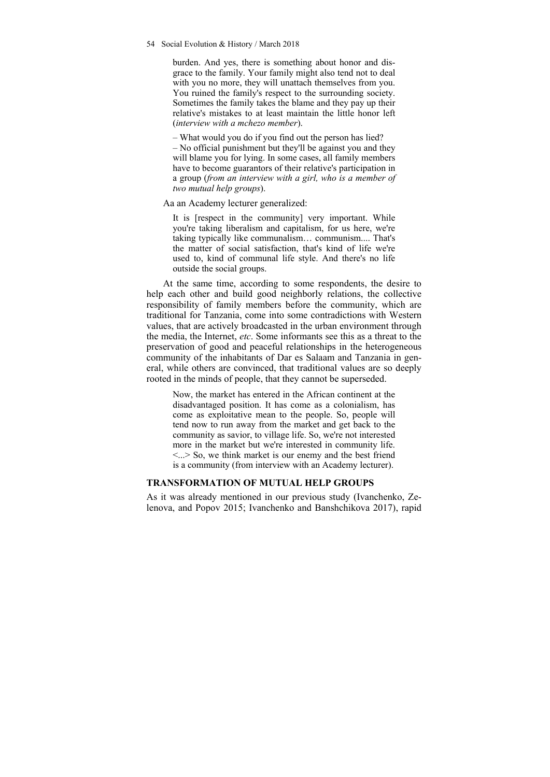54 Social Evolution & History / March 2018

burden. And yes, there is something about honor and disgrace to the family. Your family might also tend not to deal with you no more, they will unattach themselves from you. You ruined the family's respect to the surrounding society. Sometimes the family takes the blame and they pay up their relative's mistakes to at least maintain the little honor left (*interview with a mchezo member*).

– What would you do if you find out the person has lied? – No official punishment but they'll be against you and they will blame you for lying. In some cases, all family members have to become guarantors of their relative's participation in a group (*from an interview with a girl, who is a member of two mutual help groups*).

Aa an Academy lecturer generalized:

It is [respect in the community] very important. While you're taking liberalism and capitalism, for us here, we're taking typically like communalism… communism.... That's the matter of social satisfaction, that's kind of life we're used to, kind of communal life style. And there's no life outside the social groups.

At the same time, according to some respondents, the desire to help each other and build good neighborly relations, the collective responsibility of family members before the community, which are traditional for Tanzania, come into some contradictions with Western values, that are actively broadcasted in the urban environment through the media, the Internet, *etc*. Some informants see this as a threat to the preservation of good and peaceful relationships in the heterogeneous community of the inhabitants of Dar es Salaam and Tanzania in general, while others are convinced, that traditional values are so deeply rooted in the minds of people, that they cannot be superseded.

Now, the market has entered in the African continent at the disadvantaged position. It has come as a colonialism, has come as exploitative mean to the people. So, people will tend now to run away from the market and get back to the community as savior, to village life. So, we're not interested more in the market but we're interested in community life.  $\langle \cdot \rangle$  So, we think market is our enemy and the best friend is a community (from interview with an Academy lecturer).

#### **TRANSFORMATION OF MUTUAL HELP GROUPS**

As it was already mentioned in our previous study (Ivanchenko, Zelenova, and Popov 2015; Ivanchenko and Banshchikova 2017), rapid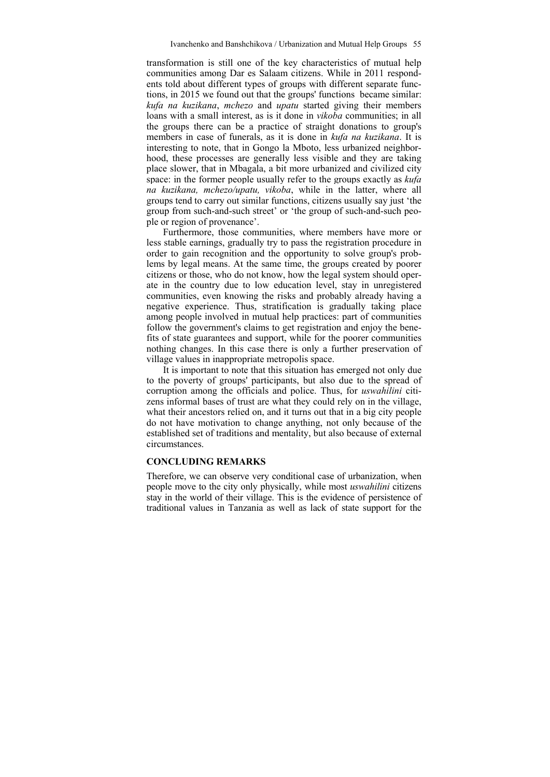transformation is still one of the key characteristics of mutual help communities among Dar es Salaam citizens. While in 2011 respondents told about different types of groups with different separate functions, in 2015 we found out that the groups' functions became similar: *kufa na kuzikana*, *mchezo* and *upatu* started giving their members loans with a small interest, as is it done in *vikoba* communities; in all the groups there can be a practice of straight donations to group's members in case of funerals, as it is done in *kufa na kuzikana*. It is interesting to note, that in Gongo la Mboto, less urbanized neighborhood, these processes are generally less visible and they are taking place slower, that in Mbagala, a bit more urbanized and civilized city space: in the former people usually refer to the groups exactly as *kufa na kuzikana, mchezo/upatu, vikoba*, while in the latter, where all groups tend to carry out similar functions, citizens usually say just 'the group from such-and-such street' or 'the group of such-and-such people or region of provenance'.

Furthermore, those communities, where members have more or less stable earnings, gradually try to pass the registration procedure in order to gain recognition and the opportunity to solve group's problems by legal means. At the same time, the groups created by poorer citizens or those, who do not know, how the legal system should operate in the country due to low education level, stay in unregistered communities, even knowing the risks and probably already having a negative experience. Thus, stratification is gradually taking place among people involved in mutual help practices: part of communities follow the government's claims to get registration and enjoy the benefits of state guarantees and support, while for the poorer communities nothing changes. In this case there is only a further preservation of village values in inappropriate metropolis space.

It is important to note that this situation has emerged not only due to the poverty of groups' participants, but also due to the spread of corruption among the officials and police. Thus, for *uswahilini* citizens informal bases of trust are what they could rely on in the village, what their ancestors relied on, and it turns out that in a big city people do not have motivation to change anything, not only because of the established set of traditions and mentality, but also because of external circumstances.

## **CONCLUDING REMARKS**

Therefore, we can observe very conditional case of urbanization, when people move to the city only physically, while most *uswahilini* citizens stay in the world of their village. This is the evidence of persistence of traditional values in Tanzania as well as lack of state support for the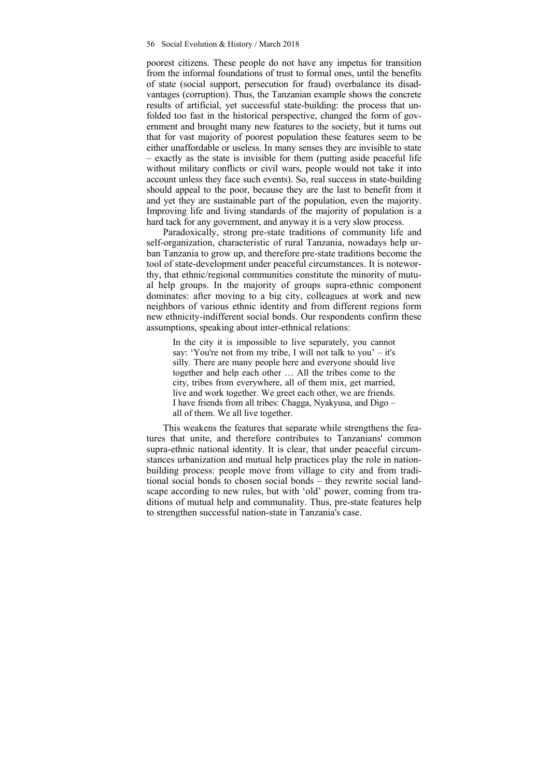poorest citizens. These people do not have any impetus for transition from the informal foundations of trust to formal ones, until the benefits of state (social support, persecution for fraud) overbalance its disadvantages (corruption). Thus, the Tanzanian example shows the concrete results of artificial, yet successful state-building: the process that unfolded too fast in the historical perspective, changed the form of government and brought many new features to the society, but it turns out that for vast majority of poorest population these features seem to be either unaffordable or useless. In many senses they are invisible to state – exactly as the state is invisible for them (putting aside peaceful life without military conflicts or civil wars, people would not take it into account unless they face such events). So, real success in state-building should appeal to the poor, because they are the last to benefit from it and yet they are sustainable part of the population, even the majority. Improving life and living standards of the majority of population is a hard tack for any government, and anyway it is a very slow process.

Paradoxically, strong pre-state traditions of community life and self-organization, characteristic of rural Tanzania, nowadays help urban Tanzania to grow up, and therefore pre-state traditions become the tool of state-development under peaceful circumstances. It is noteworthy, that ethnic/regional communities constitute the minority of mutual help groups. In the majority of groups supra-ethnic component dominates: after moving to a big city, colleagues at work and new neighbors of various ethnic identity and from different regions form new ethnicity-indifferent social bonds. Our respondents confirm these assumptions, speaking about inter-ethnical relations:

In the city it is impossible to live separately, you cannot say: 'You're not from my tribe, I will not talk to you' – it's silly. There are many people here and everyone should live together and help each other … All the tribes come to the city, tribes from everywhere, all of them mix, get married, live and work together. We greet each other, we are friends. I have friends from all tribes: Chagga, Nyakyusa, and Digo – all of them. We all live together.

This weakens the features that separate while strengthens the features that unite, and therefore contributes to Tanzanians' common supra-ethnic national identity. It is clear, that under peaceful circumstances urbanization and mutual help practices play the role in nationbuilding process: people move from village to city and from traditional social bonds to chosen social bonds – they rewrite social landscape according to new rules, but with 'old' power, coming from traditions of mutual help and communality. Thus, pre-state features help to strengthen successful nation-state in Tanzania's case.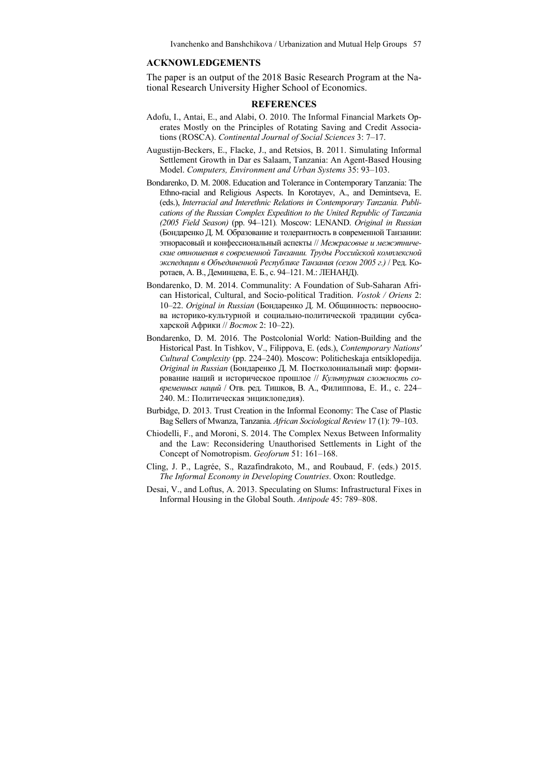Ivanchenko and Banshchikova / Urbanization and Mutual Help Groups 57

#### **ACKNOWLEDGEMENTS**

The paper is an output of the 2018 Basic Research Program at the National Research University Higher School of Economics.

#### **REFERENCES**

- Adofu, I., Antai, E., and Alabi, O. 2010. The Informal Financial Markets Operates Mostly on the Principles of Rotating Saving and Credit Associations (ROSCA). *Continental Journal of Social Sciences* 3: 7–17.
- Augustijn-Beckers, E., Flacke, J., and Retsios, B. 2011. Simulating Informal Settlement Growth in Dar es Salaam, Tanzania: An Agent-Based Housing Model. *Computers, Environment and Urban Systems* 35: 93–103.
- Bondarenko, D. M. 2008. Education and Tolerance in Contemporary Tanzania: The Ethno-racial and Religious Aspects. In Korotayev, A., and Demintseva, E. (eds.), *Interracial and Interethnic Relations in Contemporary Tanzania. Publications of the Russian Complex Expedition to the United Republic of Tanzania (2005 Field Season)* (pp. 94–121)*.* Moscow: LENAND. *Original in Russian* (Бондаренко Д. М*.* Образование и толерантность в современной Танзании: этнорасовый и конфессиональный аспекты // *Межрасовые и межэтнические отношения в современной Танзании. Труды Российской комплексной экспедиции в Объединенной Республике Танзания (сезон 2005 г.)* / Ред. Коротаев, А. В., Деминцева, Е. Б., с. 94–121. М.: ЛЕНАНД).
- Bondarenko, D. M. 2014. Communality: A Foundation of Sub-Saharan African Historical, Cultural, and Socio-political Tradition. *Vostok / Oriens* 2: 10–22. *Original in Russian* (Бондаренко Д. М. Общинность: первооснова историко-культурной и социально-политической традиции субсахарской Африки // *Восток* 2: 10–22).
- Bondarenko, D. M. 2016. The Postcolonial World: Nation-Building and the Historical Past. In Tishkov, V., Filippova, E. (eds.), *Contemporary Nations' Cultural Complexity* (pp. 224–240). Moscow: Politicheskaja entsiklopedija. *Original in Russian* (Бондаренко Д. М*.* Постколониальный мир: формирование наций и историческое прошлое // *Культурная сложность современных наций* / Отв. ред. Тишков, В. А., Филиппова, Е. И., с. 224– 240. М.: Политическая энциклопедия).
- Burbidge, D. 2013. Trust Creation in the Informal Economy: The Case of Plastic Bag Sellers of Mwanza, Tanzania. *African Sociological Review* 17 (1): 79–103.
- Chiodelli, F., and Moroni, S. 2014. The Complex Nexus Between Informality and the Law: Reconsidering Unauthorised Settlements in Light of the Concept of Nomotropism. *Geoforum* 51: 161–168.
- Cling, J. P., Lagrée, S., Razafindrakoto, M., and Roubaud, F. (eds.) 2015. *The Informal Economy in Developing Countries*. Oxon: Routledge.
- Desai, V., and Loftus, A. 2013. Speculating on Slums: Infrastructural Fixes in Informal Housing in the Global South. *Antipode* 45: 789–808.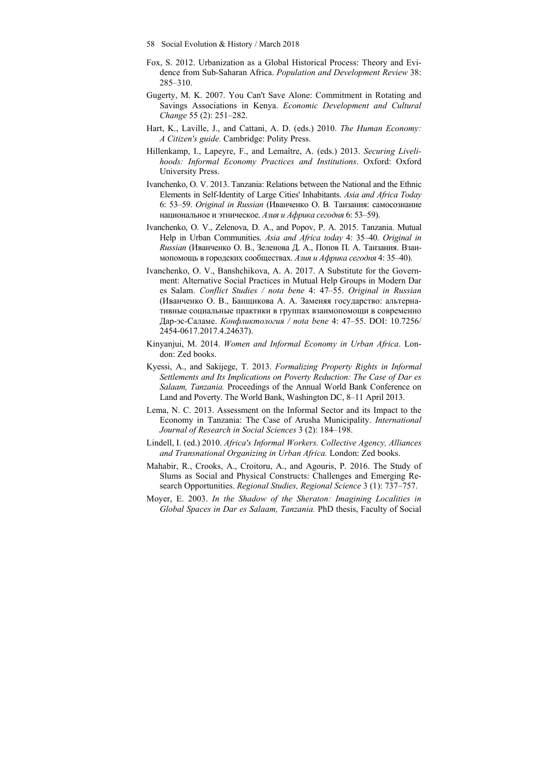- 58 Social Evolution & History / March 2018
- Fox, S. 2012. Urbanization as a Global Historical Process: Theory and Evidence from Sub-Saharan Africa. *Population and Development Review* 38: 285–310.
- Gugerty, M. K. 2007. You Can't Save Alone: Commitment in Rotating and Savings Associations in Kenya. *Economic Development and Cultural Change* 55 (2): 251–282.
- Hart, K., Laville, J., and Cattani, A. D. (eds.) 2010. *The Human Economy: A Citizen's guide.* Cambridge: Polity Press.
- Hillenkamp, I., Lapeyre, F., and Lemaître, A. (eds.) 2013. *Securing Livelihoods: Informal Economy Practices and Institutions*. Oxford: Oxford University Press.
- Ivanchenko, O. V. 2013. Tanzania: Relations between the National and the Ethnic Elements in Self-Identity of Large Cities' Inhabitants. *Asia and Africa Today* 6: 53–59. *Original in Russian* (Иванченко О. В*.* Танзания: самосознание национальное и этническое. *Азия и Африка сегодня* 6: 53–59).
- Ivanchenko, O. V., Zelenova, D. A., and Popov, P. A. 2015. Tanzania. Mutual Help in Urban Communities. *Asia and Africa today* 4: 35–40. *Original in Russian* (Иванченко О. В., Зеленова Д. А., Попов П. А. Танзания. Взаимопомощь в городских сообществах. *Азия и Африка сегодня* 4: 35–40).
- Ivanchenko, O. V., Banshchikova, A. A. 2017. A Substitute for the Government: Alternative Social Practices in Mutual Help Groups in Modern Dar es Salam. *Conflict Studies / nota bene* 4: 47–55. *Original in Russian*  (Иванченко О. В., Банщикова А. А. Заменяя государство: альтернативные социальные практики в группах взаимопомощи в современно Дар-эс-Саламе. *Конфликтология / nota bene* 4: 47–55. DOI: 10.7256/ 2454-0617.2017.4.24637).
- Kinyanjui, M. 2014. *Women and Informal Economy in Urban Africa*. London: Zed books.
- Kyessi, A., and Sakijege, T. 2013. *Formalizing Property Rights in Informal Settlements and Its Implications on Poverty Reduction: The Case of Dar es Salaam, Tanzania.* Proceedings of the Annual World Bank Conference on Land and Poverty. The World Bank, Washington DC, 8–11 April 2013.
- Lema, N. C. 2013. Assessment on the Informal Sector and its Impact to the Economy in Tanzania: The Case of Arusha Municipality. *International Journal of Research in Social Sciences* 3 (2): 184–198.
- Lindell, I. (ed.) 2010. *Africa's Informal Workers. Collective Agency, Alliances and Transnational Organizing in Urban Africa.* London: Zed books.
- Mahabir, R., Crooks, A., Croitoru, A., and Agouris, P. 2016. The Study of Slums as Social and Physical Constructs: Challenges and Emerging Research Opportunities. *Regional Studies, Regional Science* 3 (1): 737–757.
- Moyer, E. 2003. *In the Shadow of the Sheraton: Imagining Localities in Global Spaces in Dar es Salaam, Tanzania.* PhD thesis, Faculty of Social